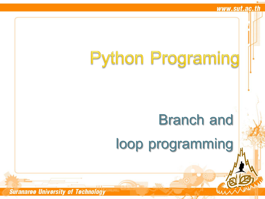# **Python Programing**

### **Branch and**

**loop programming**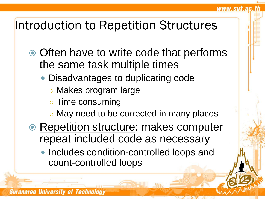### Introduction to Repetition Structures

- Often have to write code that performs the same task multiple times
	- Disadvantages to duplicating code
		- Makes program large
		- Time consuming

- May need to be corrected in many places
- Repetition structure: makes computer repeat included code as necessary
	- Includes condition-controlled loops and count-controlled loops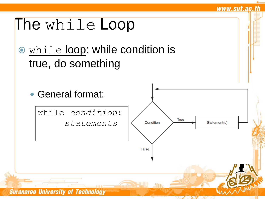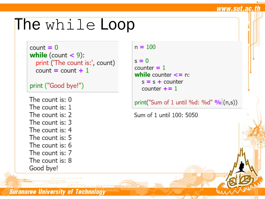### The while Loop

```
count = 0while (count \lt 9):
  print ('The count is:', count)
  count = count +1
```

```
print ("Good bye!")
```

```
The count is: 0
The count is: 1
The count is: 2
The count is: 3
The count is: 4
The count is: 5
The count is: 6
The count is: 7
The count is: 8
Good bye!
```
 $n = 100$ 

 $s = 0$ counter  $= 1$ while counter  $\leq$  n:  $s = s + counter$ counter  $+ = 1$ 

print("Sum of 1 until %d: %d" %  $(n,s)$ )

www.sut.ac.th

Sum of 1 until 100: 5050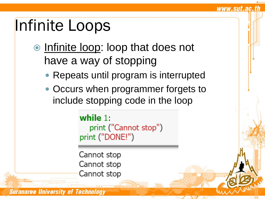# Infinite Loops

- $\bullet$  Infinite loop: loop that does not have a way of stopping
	- Repeats until program is interrupted

www.sut.ac.th

• Occurs when programmer forgets to include stopping code in the loop

> while  $1$ : print ("Cannot stop") print ("DONE!")

Cannot stop Cannot stop Cannot stop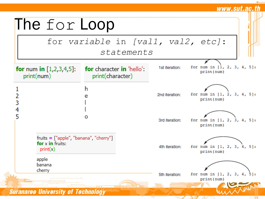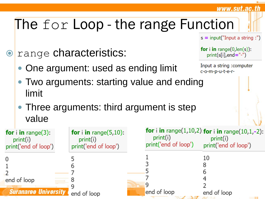#### www.sut.ac.th

### The for Loop - the range Function

 $s = input("Input a string :")$ 

**O** range characteristics:

One argument: used as ending limit

```
for i in range(0, len(s)):
   print(s[i], end="-")
```
Input a string : computer c-o-m-p-u-t-e-r-

- Two arguments: starting value and ending limit
- Three arguments: third argument is step value

| for $i$ in range(3):<br>print(i)<br>print('end of loop') | <b>for</b> i in range $(5,10)$ :<br>print(i)<br>print('end of loop') | print(i)<br>print('end of loop') | <b>for</b> i in range(1,10,2) for i in range(10,1,-2):<br>print(i)<br>print('end of loop') |
|----------------------------------------------------------|----------------------------------------------------------------------|----------------------------------|--------------------------------------------------------------------------------------------|
|                                                          |                                                                      |                                  | 10                                                                                         |
|                                                          |                                                                      |                                  |                                                                                            |
| end of loop                                              |                                                                      |                                  |                                                                                            |
| <b>Suranaree University</b>                              | end of loop                                                          | end of loop                      | end of loop                                                                                |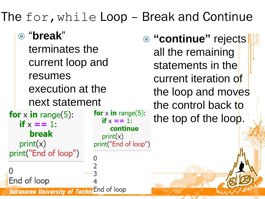### The for,while Loop – Break and Continue

 "**break**" terminates the current loop and resumes execution at the next statement for  $x$  in range(5): **for** x in range(5): if  $x == 1$ : if  $x == 1$ : continue break  $print(x)$  $print(x)$ print("End of loop") print("End of loop") End of loop End of loop **Suranaree University of** 

 **"continue"** rejects all the remaining statements in the current iteration of the loop and moves the control back to the top of the loop.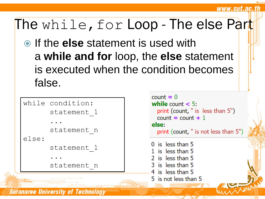### The while, for Loop - The else Part

 If the **else** statement is used with a **while and for** loop, the **else** statement is executed when the condition becomes false.

```
while condition:
      statement_1
      ...
      statement n
else:
      statement_1
      ...
      statement_n
```

```
count = 0while count < 5:
  print (count, " is less than 5")
  count = count + 1else:
  print (count, " is not less than 5")
0 is less than 51 is less than 5
2 is less than 5
3 is less than 5
4 is less than 5
5 is not less than 5
```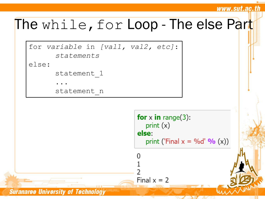#### www.sut.ac.th

### The while, for Loop - The else Part





Final  $x = 2$ 

**Suranaree University of Technology**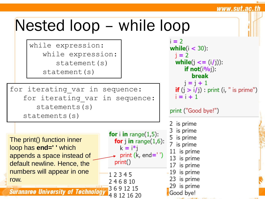## Nested loop – while loop

while expression: while expression: statement(s) statement(s)

for iterating var in sequence: for iterating var in sequence: statements(s) statements(s)

The print() function inner loop has **end=' '** which appends a space instead of default newline. Hence, the numbers will appear in one row.

**Suranaree University of Technology** 

for i in range $(1,5)$ : for  $j$  in range $(1,6)$ :  $k = i * i$ print (k, end='') print()

12345 246810 3691215 4 8 12 16 20

 $i = 2$ while( $i < 30$ ):  $i = 2$ while( $j \leq (i/j)$ ): if  $not(i\%j)$ : **break**  $i = i + 1$ **if**  $(j > i/j)$ : print  $(i, " is prime")$  $i = i + 1$ print ("Good bye!") 2 is prime 3 is prime 5 is prime 7 is prime 11 is prime 13 is prime 17 is prime  $-19$  is prime 23 is prime 29 is prime Good bye!

www.sut.ac.th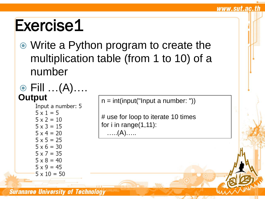Write a Python program to create the multiplication table (from 1 to 10) of a number

# **⊙** Fill …(A)….<br>Output

 $5 \times 1 = 5$  $5 \times 2 = 10$  $5 \times 3 = 15$  $5 \times 4 = 20$  $5 \times 5 = 25$  $5 \times 6 = 30$  $5 \times 7 = 35$  $5 \times 8 = 40$  $5 \times 9 = 45$  $5 \times 10 = 50$ 

**Put**  $\begin{cases} n = \text{int}(\text{input } a \text{ number: } \texttt{b}) \\ \text{Input } a \text{ number: } 5 \end{cases}$ 

www.sut.ac.th

# use for loop to iterate 10 times for i in range(1,11): …..(A)…..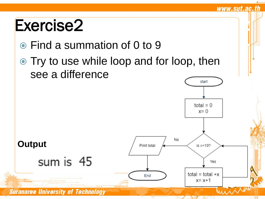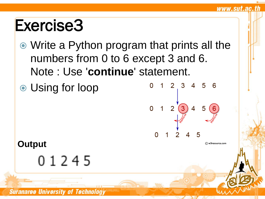- Write a Python program that prints all the numbers from 0 to 6 except 3 and 6. Note : Use '**continue**' statement.
- Using for loop



C w3resource.com

www.sut.ac.th

#### **Output**

01245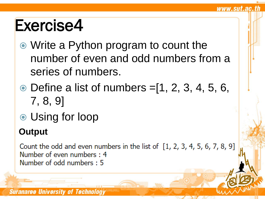Write a Python program to count the number of even and odd numbers from a series of numbers.

www.sut.ac.th

- $\odot$  Define a list of numbers = [1, 2, 3, 4, 5, 6, 7, 8, 9]
- Using for loop

### **Output**

Count the odd and even numbers in the list of  $[1, 2, 3, 4, 5, 6, 7, 8, 9]$ Number of even numbers: 4 Number of odd numbers: 5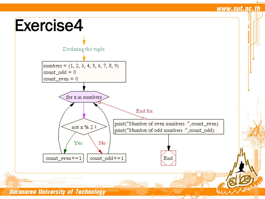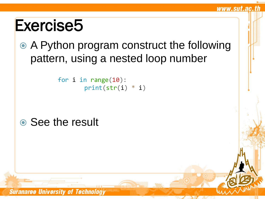A Python program construct the following pattern, using a nested loop number

www.sut.ac.th

```
for i in range(10):
       print(str(i) * i)
```
### **◎ See the result**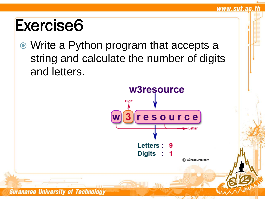Write a Python program that accepts a string and calculate the number of digits and letters.



www.sut.ac.th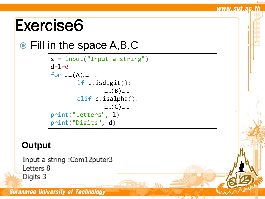### Fill in the space A,B,C

```
s = input("Input a string")d=1=0for ……(A)…… :
       if c.isdigit():
              ……(B)……
       elif c.isalpha():
              ……(C)…… 
print("Letters", l)
print("Digits", d)
```
www.sut.ac.th

#### **Output**

Input a string : Com12puter3 Letters 8 Digits 3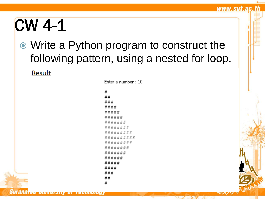# CW 4-1

### Write a Python program to construct the following pattern, using a nested for loop.

www.sut.ac.th

mv,

Result

Enter a number: 10

 $#$  $##$  $# # #$ #### *\*\*\*\*\*\*\*\*\* # # # # # # # # #* ######### ######## ####### ###### ##### #### ###  $##$ #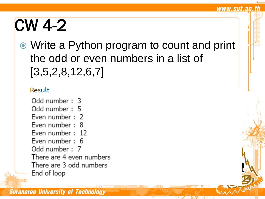# CW 4-2

 Write a Python program to count and print the odd or even numbers in a list of [3,5,2,8,12,6,7]

#### Result

Odd number: 3 Odd number: 5 Even number: 2 Even number: 8 Even number: 12 Even number: 6 Odd number: 7 There are 4 even numbers There are 3 odd numbers End of loop